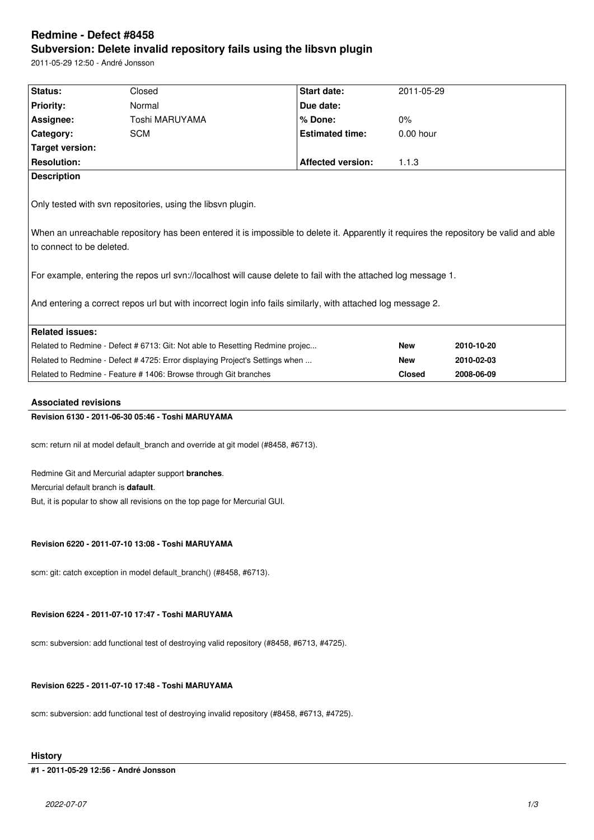# **Redmine - Defect #8458 Subversion: Delete invalid repository fails using the libsvn plugin**

2011-05-29 12:50 - André Jonsson

| Status:                                                                                                        | Closed                                                                                                                                 | Start date:              | 2011-05-29    |            |  |  |  |
|----------------------------------------------------------------------------------------------------------------|----------------------------------------------------------------------------------------------------------------------------------------|--------------------------|---------------|------------|--|--|--|
| <b>Priority:</b>                                                                                               | Normal                                                                                                                                 | Due date:                |               |            |  |  |  |
| Assignee:                                                                                                      | Toshi MARUYAMA                                                                                                                         | % Done:                  | $0\%$         |            |  |  |  |
| Category:                                                                                                      | <b>SCM</b>                                                                                                                             | <b>Estimated time:</b>   | 0.00 hour     |            |  |  |  |
| <b>Target version:</b>                                                                                         |                                                                                                                                        |                          |               |            |  |  |  |
| <b>Resolution:</b>                                                                                             |                                                                                                                                        | <b>Affected version:</b> | 1.1.3         |            |  |  |  |
| <b>Description</b>                                                                                             |                                                                                                                                        |                          |               |            |  |  |  |
| Only tested with svn repositories, using the libsvn plugin.                                                    |                                                                                                                                        |                          |               |            |  |  |  |
|                                                                                                                | When an unreachable repository has been entered it is impossible to delete it. Apparently it requires the repository be valid and able |                          |               |            |  |  |  |
| to connect to be deleted.                                                                                      |                                                                                                                                        |                          |               |            |  |  |  |
|                                                                                                                |                                                                                                                                        |                          |               |            |  |  |  |
| For example, entering the repos url svn://localhost will cause delete to fail with the attached log message 1. |                                                                                                                                        |                          |               |            |  |  |  |
|                                                                                                                |                                                                                                                                        |                          |               |            |  |  |  |
| And entering a correct repos url but with incorrect login info fails similarly, with attached log message 2.   |                                                                                                                                        |                          |               |            |  |  |  |
|                                                                                                                |                                                                                                                                        |                          |               |            |  |  |  |
| <b>Related issues:</b>                                                                                         |                                                                                                                                        |                          |               |            |  |  |  |
| Related to Redmine - Defect # 6713: Git: Not able to Resetting Redmine projec                                  |                                                                                                                                        |                          | <b>New</b>    | 2010-10-20 |  |  |  |
| Related to Redmine - Defect # 4725: Error displaying Project's Settings when                                   |                                                                                                                                        |                          | <b>New</b>    | 2010-02-03 |  |  |  |
| Related to Redmine - Feature # 1406: Browse through Git branches                                               |                                                                                                                                        |                          | <b>Closed</b> | 2008-06-09 |  |  |  |
| <b>Associated revisions</b>                                                                                    |                                                                                                                                        |                          |               |            |  |  |  |
| Revision 6130 - 2011-06-30 05:46 - Toshi MARUYAMA                                                              |                                                                                                                                        |                          |               |            |  |  |  |
|                                                                                                                |                                                                                                                                        |                          |               |            |  |  |  |
| scm: return nil at model default_branch and override at git model (#8458, #6713).                              |                                                                                                                                        |                          |               |            |  |  |  |
|                                                                                                                |                                                                                                                                        |                          |               |            |  |  |  |
| Redmine Git and Mercurial adapter support branches.                                                            |                                                                                                                                        |                          |               |            |  |  |  |
| Mercurial default branch is <b>dafault</b> .                                                                   |                                                                                                                                        |                          |               |            |  |  |  |
| But, it is popular to show all revisions on the top page for Mercurial GUI.                                    |                                                                                                                                        |                          |               |            |  |  |  |
|                                                                                                                |                                                                                                                                        |                          |               |            |  |  |  |
|                                                                                                                |                                                                                                                                        |                          |               |            |  |  |  |
| Revision 6220 - 2011-07-10 13:08 - Toshi MARUYAMA                                                              |                                                                                                                                        |                          |               |            |  |  |  |
|                                                                                                                |                                                                                                                                        |                          |               |            |  |  |  |
| scm: git: catch exception in model default branch() (#8458, #6713).                                            |                                                                                                                                        |                          |               |            |  |  |  |
|                                                                                                                |                                                                                                                                        |                          |               |            |  |  |  |
|                                                                                                                |                                                                                                                                        |                          |               |            |  |  |  |
| Revision 6224 - 2011-07-10 17:47 - Toshi MARUYAMA                                                              |                                                                                                                                        |                          |               |            |  |  |  |

scm: subversion: add functional test of destroying valid repository (#8458, #6713, #4725).

# **Revision 6225 - 2011-07-10 17:48 - Toshi MARUYAMA**

scm: subversion: add functional test of destroying invalid repository (#8458, #6713, #4725).

# **History**

# **#1 - 2011-05-29 12:56 - André Jonsson**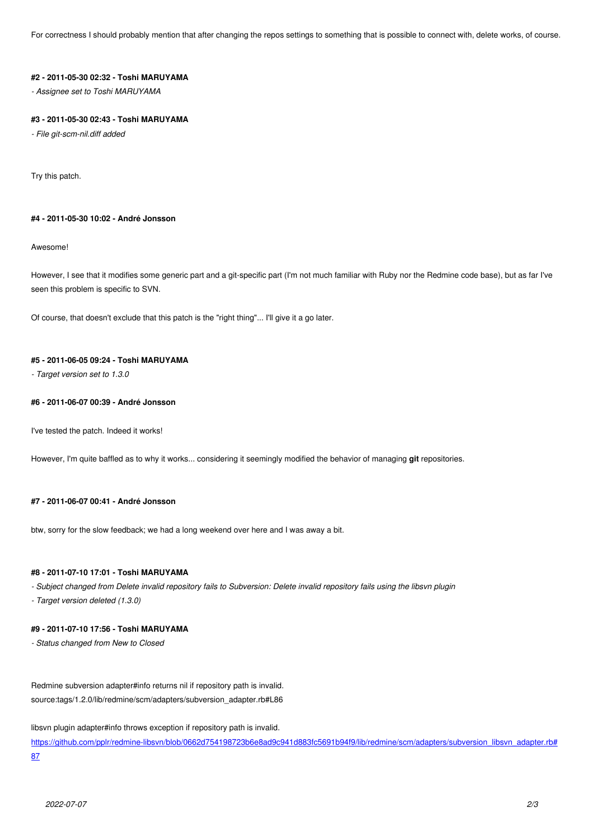# **#2 - 2011-05-30 02:32 - Toshi MARUYAMA**

*- Assignee set to Toshi MARUYAMA*

### **#3 - 2011-05-30 02:43 - Toshi MARUYAMA**

*- File git-scm-nil.diff added*

Try this patch.

## **#4 - 2011-05-30 10:02 - André Jonsson**

Awesome!

However, I see that it modifies some generic part and a git-specific part (I'm not much familiar with Ruby nor the Redmine code base), but as far I've seen this problem is specific to SVN.

Of course, that doesn't exclude that this patch is the "right thing"... I'll give it a go later.

#### **#5 - 2011-06-05 09:24 - Toshi MARUYAMA**

*- Target version set to 1.3.0*

## **#6 - 2011-06-07 00:39 - André Jonsson**

I've tested the patch. Indeed it works!

However, I'm quite baffled as to why it works... considering it seemingly modified the behavior of managing **git** repositories.

#### **#7 - 2011-06-07 00:41 - André Jonsson**

btw, sorry for the slow feedback; we had a long weekend over here and I was away a bit.

### **#8 - 2011-07-10 17:01 - Toshi MARUYAMA**

*- Subject changed from Delete invalid repository fails to Subversion: Delete invalid repository fails using the libsvn plugin*

*- Target version deleted (1.3.0)*

### **#9 - 2011-07-10 17:56 - Toshi MARUYAMA**

*- Status changed from New to Closed*

Redmine subversion adapter#info returns nil if repository path is invalid. source:tags/1.2.0/lib/redmine/scm/adapters/subversion\_adapter.rb#L86

libsvn plugin adapter#info throws exception if repository path is invalid.

https://github.com/pplr/redmine-libsvn/blob/0662d754198723b6e8ad9c941d883fc5691b94f9/lib/redmine/scm/adapters/subversion\_libsvn\_adapter.rb# 87